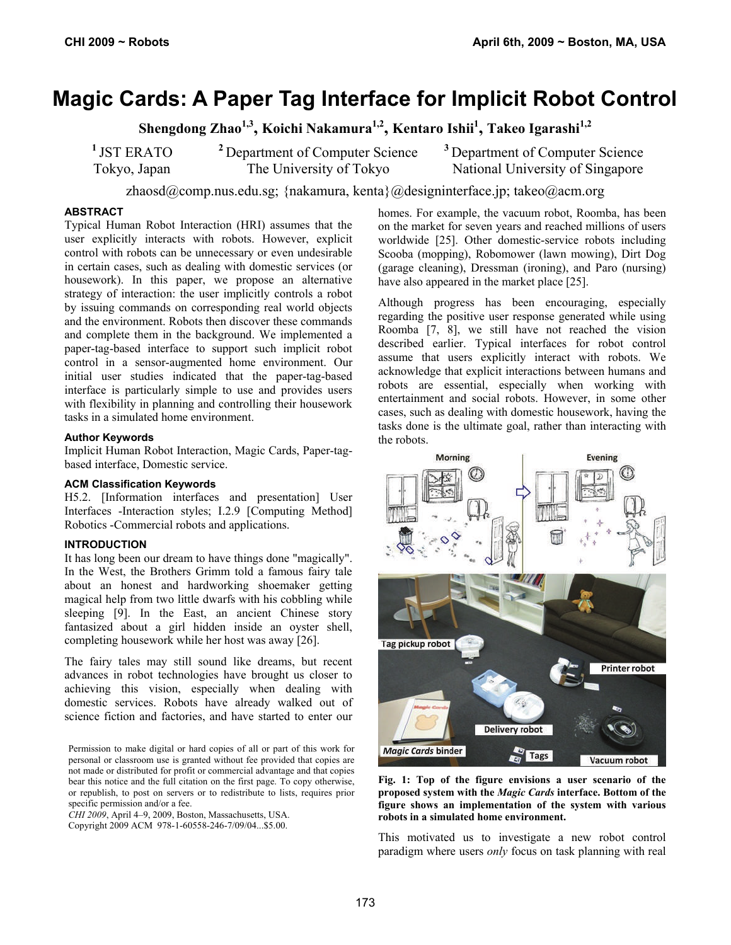# **Magic Cards: A Paper Tag Interface for Implicit Robot Control**

 $\boldsymbol{\mathrm{Shengdong\ Zhao}}^{1,3}, \boldsymbol{\mathrm{Koichi\ Nakamura}}^{1,2}, \boldsymbol{\mathrm{Kentaro\ Ishii}}^{1}, \boldsymbol{\mathrm{Takeo\ Igarashi}}^{1,2}$ 

**<sup>1</sup>**JST ERATO Tokyo, Japan

**<sup>2</sup>**Department of Computer Science The University of Tokyo

**<sup>3</sup>** Department of Computer Science National University of Singapore

zhaosd@comp.nus.edu.sg; {nakamura, kenta}@designinterface.jp; takeo@acm.org

# **ABSTRACT**

Typical Human Robot Interaction (HRI) assumes that the user explicitly interacts with robots. However, explicit control with robots can be unnecessary or even undesirable in certain cases, such as dealing with domestic services (or housework). In this paper, we propose an alternative strategy of interaction: the user implicitly controls a robot by issuing commands on corresponding real world objects and the environment. Robots then discover these commands and complete them in the background. We implemented a paper-tag-based interface to support such implicit robot control in a sensor-augmented home environment. Our initial user studies indicated that the paper-tag-based interface is particularly simple to use and provides users with flexibility in planning and controlling their housework tasks in a simulated home environment.

## **Author Keywords**

Implicit Human Robot Interaction, Magic Cards, Paper-tagbased interface, Domestic service.

#### **ACM Classification Keywords**

H5.2. [Information interfaces and presentation] User Interfaces -Interaction styles; I.2.9 [Computing Method] Robotics -Commercial robots and applications.

# **INTRODUCTION**

It has long been our dream to have things done "magically". In the West, the Brothers Grimm told a famous fairy tale about an honest and hardworking shoemaker getting magical help from two little dwarfs with his cobbling while sleeping [9]. In the East, an ancient Chinese story fantasized about a girl hidden inside an oyster shell, completing housework while her host was away [26].

The fairy tales may still sound like dreams, but recent advances in robot technologies have brought us closer to achieving this vision, especially when dealing with domestic services. Robots have already walked out of science fiction and factories, and have started to enter our

Permission to make digital or hard copies of all or part of this work for personal or classroom use is granted without fee provided that copies are not made or distributed for profit or commercial advantage and that copies bear this notice and the full citation on the first page. To copy otherwise, or republish, to post on servers or to redistribute to lists, requires prior specific permission and/or a fee.

*CHI 2009*, April 4–9, 2009, Boston, Massachusetts, USA.

Copyright 2009 ACM 978-1-60558-246-7/09/04...\$5.00.

homes. For example, the vacuum robot, Roomba, has been on the market for seven years and reached millions of users worldwide [25]. Other domestic-service robots including Scooba (mopping), Robomower (lawn mowing), Dirt Dog (garage cleaning), Dressman (ironing), and Paro (nursing) have also appeared in the market place [25].

Although progress has been encouraging, especially regarding the positive user response generated while using Roomba [7, 8], we still have not reached the vision described earlier. Typical interfaces for robot control assume that users explicitly interact with robots. We acknowledge that explicit interactions between humans and robots are essential, especially when working with entertainment and social robots. However, in some other cases, such as dealing with domestic housework, having the tasks done is the ultimate goal, rather than interacting with the robots.



**Fig. 1: Top of the figure envisions a user scenario of the proposed system with the** *Magic Cards* **interface. Bottom of the figure shows an implementation of the system with various robots in a simulated home environment.** 

This motivated us to investigate a new robot control paradigm where users *only* focus on task planning with real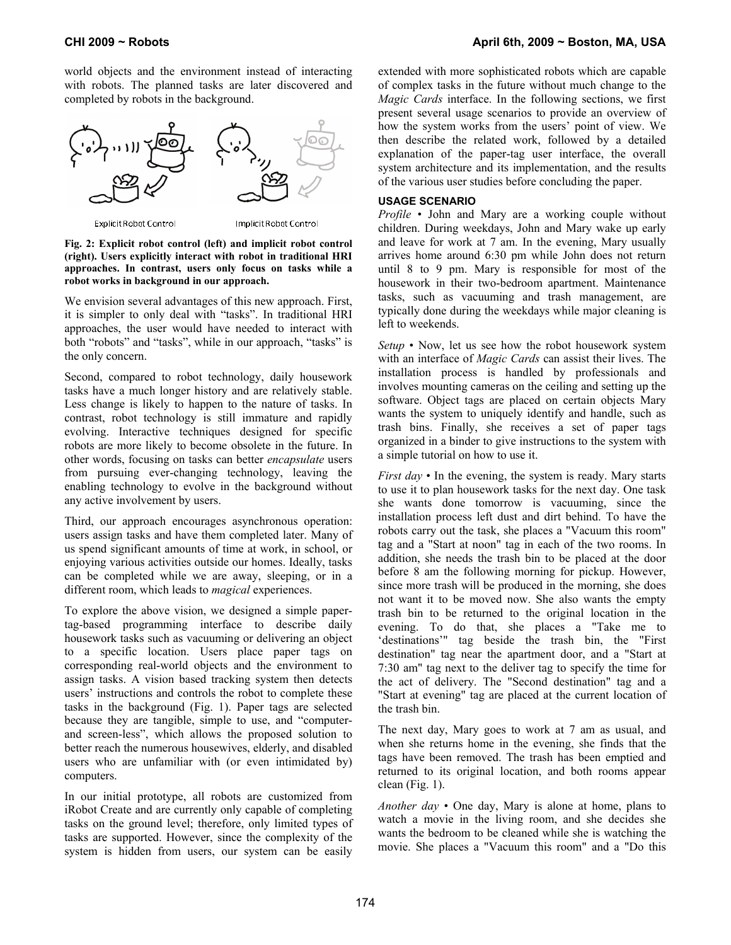world objects and the environment instead of interacting with robots. The planned tasks are later discovered and completed by robots in the background.



Explicit Robot Control

Implicit Robot Control

**Fig. 2: Explicit robot control (left) and implicit robot control (right). Users explicitly interact with robot in traditional HRI approaches. In contrast, users only focus on tasks while a robot works in background in our approach.** 

We envision several advantages of this new approach. First, it is simpler to only deal with "tasks". In traditional HRI approaches, the user would have needed to interact with both "robots" and "tasks", while in our approach, "tasks" is the only concern.

Second, compared to robot technology, daily housework tasks have a much longer history and are relatively stable. Less change is likely to happen to the nature of tasks. In contrast, robot technology is still immature and rapidly evolving. Interactive techniques designed for specific robots are more likely to become obsolete in the future. In other words, focusing on tasks can better *encapsulate* users from pursuing ever-changing technology, leaving the enabling technology to evolve in the background without any active involvement by users.

Third, our approach encourages asynchronous operation: users assign tasks and have them completed later. Many of us spend significant amounts of time at work, in school, or enjoying various activities outside our homes. Ideally, tasks can be completed while we are away, sleeping, or in a different room, which leads to *magical* experiences.

To explore the above vision, we designed a simple papertag-based programming interface to describe daily housework tasks such as vacuuming or delivering an object to a specific location. Users place paper tags on corresponding real-world objects and the environment to assign tasks. A vision based tracking system then detects users' instructions and controls the robot to complete these tasks in the background (Fig. 1). Paper tags are selected because they are tangible, simple to use, and "computerand screen-less", which allows the proposed solution to better reach the numerous housewives, elderly, and disabled users who are unfamiliar with (or even intimidated by) computers.

In our initial prototype, all robots are customized from iRobot Create and are currently only capable of completing tasks on the ground level; therefore, only limited types of tasks are supported. However, since the complexity of the system is hidden from users, our system can be easily

extended with more sophisticated robots which are capable of complex tasks in the future without much change to the *Magic Cards* interface. In the following sections, we first present several usage scenarios to provide an overview of how the system works from the users' point of view. We then describe the related work, followed by a detailed explanation of the paper-tag user interface, the overall system architecture and its implementation, and the results of the various user studies before concluding the paper.

#### **USAGE SCENARIO**

*Profile* • John and Mary are a working couple without children. During weekdays, John and Mary wake up early and leave for work at 7 am. In the evening, Mary usually arrives home around 6:30 pm while John does not return until 8 to 9 pm. Mary is responsible for most of the housework in their two-bedroom apartment. Maintenance tasks, such as vacuuming and trash management, are typically done during the weekdays while major cleaning is left to weekends.

*Setup* • Now, let us see how the robot housework system with an interface of *Magic Cards* can assist their lives. The installation process is handled by professionals and involves mounting cameras on the ceiling and setting up the software. Object tags are placed on certain objects Mary wants the system to uniquely identify and handle, such as trash bins. Finally, she receives a set of paper tags organized in a binder to give instructions to the system with a simple tutorial on how to use it.

*First day* • In the evening, the system is ready. Mary starts to use it to plan housework tasks for the next day. One task she wants done tomorrow is vacuuming, since the installation process left dust and dirt behind. To have the robots carry out the task, she places a "Vacuum this room" tag and a "Start at noon" tag in each of the two rooms. In addition, she needs the trash bin to be placed at the door before 8 am the following morning for pickup. However, since more trash will be produced in the morning, she does not want it to be moved now. She also wants the empty trash bin to be returned to the original location in the evening. To do that, she places a "Take me to 'destinations'" tag beside the trash bin, the "First destination" tag near the apartment door, and a "Start at 7:30 am" tag next to the deliver tag to specify the time for the act of delivery. The "Second destination" tag and a "Start at evening" tag are placed at the current location of the trash bin.

The next day, Mary goes to work at 7 am as usual, and when she returns home in the evening, she finds that the tags have been removed. The trash has been emptied and returned to its original location, and both rooms appear clean (Fig. 1).

*Another day* • One day, Mary is alone at home, plans to watch a movie in the living room, and she decides she wants the bedroom to be cleaned while she is watching the movie. She places a "Vacuum this room" and a "Do this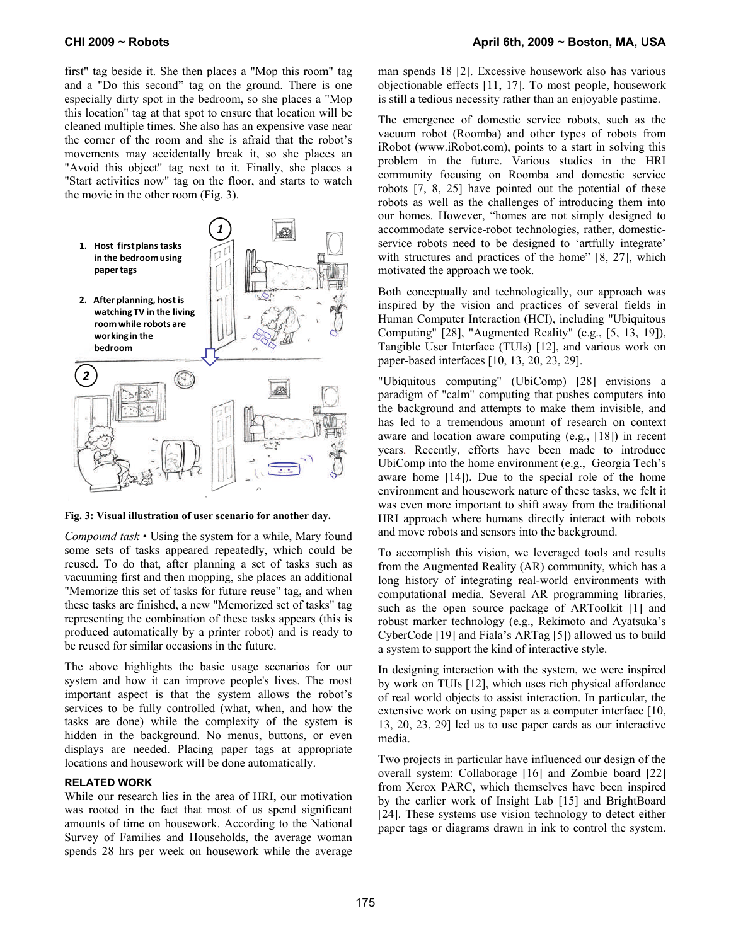first" tag beside it. She then places a "Mop this room" tag and a "Do this second" tag on the ground. There is one especially dirty spot in the bedroom, so she places a "Mop this location" tag at that spot to ensure that location will be cleaned multiple times. She also has an expensive vase near the corner of the room and she is afraid that the robot's movements may accidentally break it, so she places an "Avoid this object" tag next to it. Finally, she places a "Start activities now" tag on the floor, and starts to watch the movie in the other room (Fig. 3).



**Fig. 3: Visual illustration of user scenario for another day.** 

*Compound task* • Using the system for a while, Mary found some sets of tasks appeared repeatedly, which could be reused. To do that, after planning a set of tasks such as vacuuming first and then mopping, she places an additional "Memorize this set of tasks for future reuse" tag, and when these tasks are finished, a new "Memorized set of tasks" tag representing the combination of these tasks appears (this is produced automatically by a printer robot) and is ready to be reused for similar occasions in the future.

The above highlights the basic usage scenarios for our system and how it can improve people's lives. The most important aspect is that the system allows the robot's services to be fully controlled (what, when, and how the tasks are done) while the complexity of the system is hidden in the background. No menus, buttons, or even displays are needed. Placing paper tags at appropriate locations and housework will be done automatically.

### **RELATED WORK**

While our research lies in the area of HRI, our motivation was rooted in the fact that most of us spend significant amounts of time on housework. According to the National Survey of Families and Households, the average woman spends 28 hrs per week on housework while the average

man spends 18 [2]. Excessive housework also has various objectionable effects [11, 17]. To most people, housework is still a tedious necessity rather than an enjoyable pastime.

The emergence of domestic service robots, such as the vacuum robot (Roomba) and other types of robots from iRobot (www.iRobot.com), points to a start in solving this problem in the future. Various studies in the HRI community focusing on Roomba and domestic service robots [7, 8, 25] have pointed out the potential of these robots as well as the challenges of introducing them into our homes. However, "homes are not simply designed to accommodate service-robot technologies, rather, domesticservice robots need to be designed to 'artfully integrate' with structures and practices of the home" [8, 27], which motivated the approach we took.

Both conceptually and technologically, our approach was inspired by the vision and practices of several fields in Human Computer Interaction (HCI), including "Ubiquitous Computing" [28], "Augmented Reality" (e.g., [5, 13, 19]), Tangible User Interface (TUIs) [12], and various work on paper-based interfaces [10, 13, 20, 23, 29].

"Ubiquitous computing" (UbiComp) [28] envisions a paradigm of "calm" computing that pushes computers into the background and attempts to make them invisible, and has led to a tremendous amount of research on context aware and location aware computing (e.g., [18]) in recent years. Recently, efforts have been made to introduce UbiComp into the home environment (e.g., Georgia Tech's aware home [14]). Due to the special role of the home environment and housework nature of these tasks, we felt it was even more important to shift away from the traditional HRI approach where humans directly interact with robots and move robots and sensors into the background.

To accomplish this vision, we leveraged tools and results from the Augmented Reality (AR) community, which has a long history of integrating real-world environments with computational media. Several AR programming libraries, such as the open source package of ARToolkit [1] and robust marker technology (e.g., Rekimoto and Ayatsuka's CyberCode [19] and Fiala's ARTag [5]) allowed us to build a system to support the kind of interactive style.

In designing interaction with the system, we were inspired by work on TUIs [12], which uses rich physical affordance of real world objects to assist interaction. In particular, the extensive work on using paper as a computer interface [10, 13, 20, 23, 29] led us to use paper cards as our interactive media.

Two projects in particular have influenced our design of the overall system: Collaborage [16] and Zombie board [22] from Xerox PARC, which themselves have been inspired by the earlier work of Insight Lab [15] and BrightBoard [24]. These systems use vision technology to detect either paper tags or diagrams drawn in ink to control the system.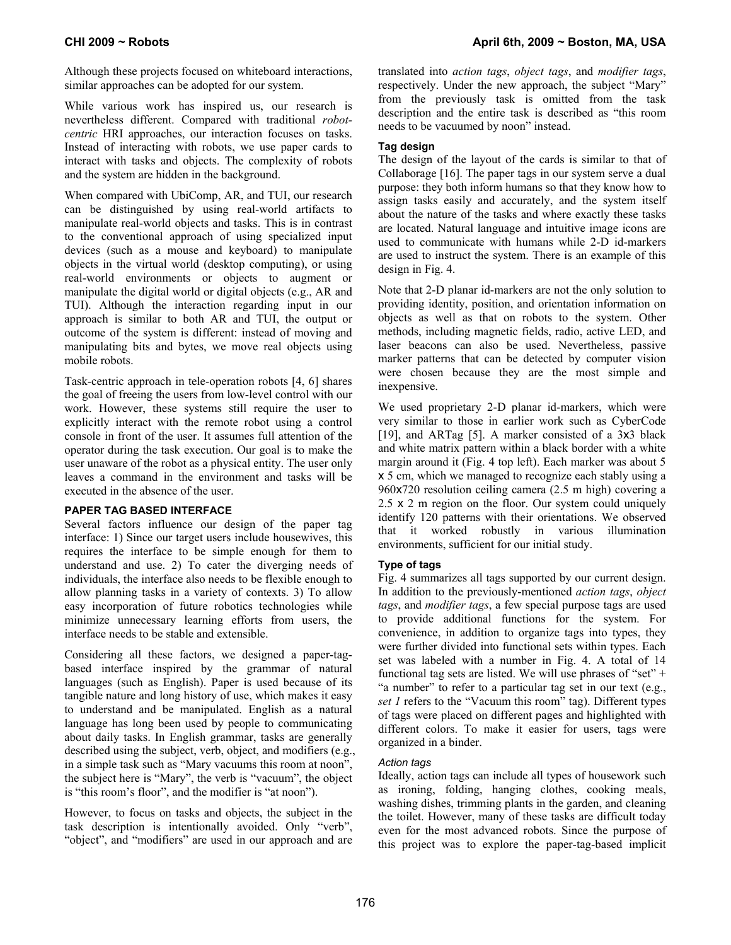Although these projects focused on whiteboard interactions, similar approaches can be adopted for our system.

While various work has inspired us, our research is nevertheless different. Compared with traditional *robotcentric* HRI approaches, our interaction focuses on tasks. Instead of interacting with robots, we use paper cards to interact with tasks and objects. The complexity of robots and the system are hidden in the background.

When compared with UbiComp, AR, and TUI, our research can be distinguished by using real-world artifacts to manipulate real-world objects and tasks. This is in contrast to the conventional approach of using specialized input devices (such as a mouse and keyboard) to manipulate objects in the virtual world (desktop computing), or using real-world environments or objects to augment or manipulate the digital world or digital objects (e.g., AR and TUI). Although the interaction regarding input in our approach is similar to both AR and TUI, the output or outcome of the system is different: instead of moving and manipulating bits and bytes, we move real objects using mobile robots.

Task-centric approach in tele-operation robots [4, 6] shares the goal of freeing the users from low-level control with our work. However, these systems still require the user to explicitly interact with the remote robot using a control console in front of the user. It assumes full attention of the operator during the task execution. Our goal is to make the user unaware of the robot as a physical entity. The user only leaves a command in the environment and tasks will be executed in the absence of the user.

# **PAPER TAG BASED INTERFACE**

Several factors influence our design of the paper tag interface: 1) Since our target users include housewives, this requires the interface to be simple enough for them to understand and use. 2) To cater the diverging needs of individuals, the interface also needs to be flexible enough to allow planning tasks in a variety of contexts. 3) To allow easy incorporation of future robotics technologies while minimize unnecessary learning efforts from users, the interface needs to be stable and extensible.

Considering all these factors, we designed a paper-tagbased interface inspired by the grammar of natural languages (such as English). Paper is used because of its tangible nature and long history of use, which makes it easy to understand and be manipulated. English as a natural language has long been used by people to communicating about daily tasks. In English grammar, tasks are generally described using the subject, verb, object, and modifiers (e.g., in a simple task such as "Mary vacuums this room at noon", the subject here is "Mary", the verb is "vacuum", the object is "this room's floor", and the modifier is "at noon").

However, to focus on tasks and objects, the subject in the task description is intentionally avoided. Only "verb", "object", and "modifiers" are used in our approach and are translated into *action tags*, *object tags*, and *modifier tags*, respectively. Under the new approach, the subject "Mary" from the previously task is omitted from the task description and the entire task is described as "this room needs to be vacuumed by noon" instead.

# **Tag design**

The design of the layout of the cards is similar to that of Collaborage [16]. The paper tags in our system serve a dual purpose: they both inform humans so that they know how to assign tasks easily and accurately, and the system itself about the nature of the tasks and where exactly these tasks are located. Natural language and intuitive image icons are used to communicate with humans while 2-D id-markers are used to instruct the system. There is an example of this design in Fig. 4.

Note that 2-D planar id-markers are not the only solution to providing identity, position, and orientation information on objects as well as that on robots to the system. Other methods, including magnetic fields, radio, active LED, and laser beacons can also be used. Nevertheless, passive marker patterns that can be detected by computer vision were chosen because they are the most simple and inexpensive.

We used proprietary 2-D planar id-markers, which were very similar to those in earlier work such as CyberCode [19], and ARTag [5]. A marker consisted of a 3x3 black and white matrix pattern within a black border with a white margin around it (Fig. 4 top left). Each marker was about 5 x 5 cm, which we managed to recognize each stably using a 960x720 resolution ceiling camera (2.5 m high) covering a 2.5 x 2 m region on the floor. Our system could uniquely identify 120 patterns with their orientations. We observed that it worked robustly in various illumination environments, sufficient for our initial study.

# **Type of tags**

Fig. 4 summarizes all tags supported by our current design. In addition to the previously-mentioned *action tags*, *object tags*, and *modifier tags*, a few special purpose tags are used to provide additional functions for the system. For convenience, in addition to organize tags into types, they were further divided into functional sets within types. Each set was labeled with a number in Fig. 4. A total of 14 functional tag sets are listed. We will use phrases of "set"  $+$ "a number" to refer to a particular tag set in our text (e.g., *set 1* refers to the "Vacuum this room" tag). Different types of tags were placed on different pages and highlighted with different colors. To make it easier for users, tags were organized in a binder.

# *Action tags*

Ideally, action tags can include all types of housework such as ironing, folding, hanging clothes, cooking meals, washing dishes, trimming plants in the garden, and cleaning the toilet. However, many of these tasks are difficult today even for the most advanced robots. Since the purpose of this project was to explore the paper-tag-based implicit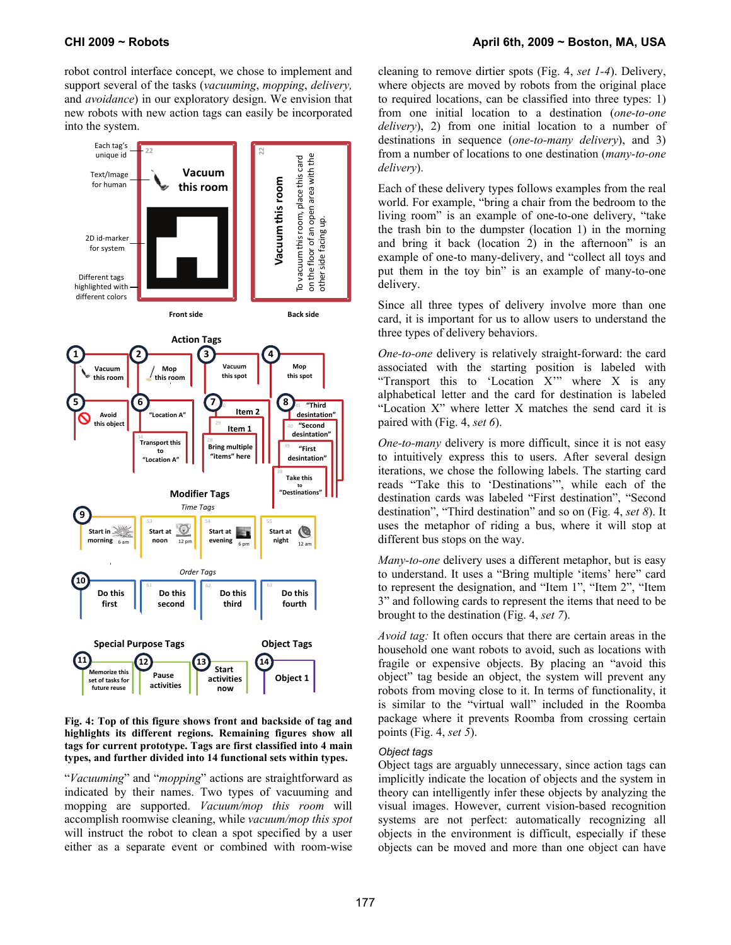robot control interface concept, we chose to implement and support several of the tasks (*vacuuming*, *mopping*, *delivery,*  and *avoidance*) in our exploratory design. We envision that new robots with new action tags can easily be incorporated into the system.



**Fig. 4: Top of this figure shows front and backside of tag and highlights its different regions. Remaining figures show all tags for current prototype. Tags are first classified into 4 main types, and further divided into 14 functional sets within types.** 

"*Vacuuming*" and "*mopping*" actions are straightforward as indicated by their names. Two types of vacuuming and mopping are supported. *Vacuum/mop this room* will accomplish roomwise cleaning, while *vacuum/mop this spot* will instruct the robot to clean a spot specified by a user either as a separate event or combined with room-wise cleaning to remove dirtier spots (Fig. 4, *set 1-4*). Delivery, where objects are moved by robots from the original place to required locations, can be classified into three types: 1) from one initial location to a destination (*one-to-one delivery*), 2) from one initial location to a number of destinations in sequence (*one-to-many delivery*), and 3) from a number of locations to one destination (*many-to-one delivery*).

Each of these delivery types follows examples from the real world. For example, "bring a chair from the bedroom to the living room" is an example of one-to-one delivery, "take the trash bin to the dumpster (location 1) in the morning and bring it back (location 2) in the afternoon" is an example of one-to many-delivery, and "collect all toys and put them in the toy bin" is an example of many-to-one delivery.

Since all three types of delivery involve more than one card, it is important for us to allow users to understand the three types of delivery behaviors.

*One-to-one* delivery is relatively straight-forward: the card associated with the starting position is labeled with "Transport this to 'Location X'" where X is any alphabetical letter and the card for destination is labeled "Location X" where letter X matches the send card it is paired with (Fig. 4, *set 6*).

*One-to-many* delivery is more difficult, since it is not easy to intuitively express this to users. After several design iterations, we chose the following labels. The starting card reads "Take this to 'Destinations'", while each of the destination cards was labeled "First destination", "Second destination", "Third destination" and so on (Fig. 4, *set 8*). It uses the metaphor of riding a bus, where it will stop at different bus stops on the way.

*Many-to-one* delivery uses a different metaphor, but is easy to understand. It uses a "Bring multiple 'items' here" card to represent the designation, and "Item 1", "Item 2", "Item 3" and following cards to represent the items that need to be brought to the destination (Fig. 4, *set 7*).

*Avoid tag:* It often occurs that there are certain areas in the household one want robots to avoid, such as locations with fragile or expensive objects. By placing an "avoid this object" tag beside an object, the system will prevent any robots from moving close to it. In terms of functionality, it is similar to the "virtual wall" included in the Roomba package where it prevents Roomba from crossing certain points (Fig. 4, *set 5*).

#### *Object tags*

Object tags are arguably unnecessary, since action tags can implicitly indicate the location of objects and the system in theory can intelligently infer these objects by analyzing the visual images. However, current vision-based recognition systems are not perfect: automatically recognizing all objects in the environment is difficult, especially if these objects can be moved and more than one object can have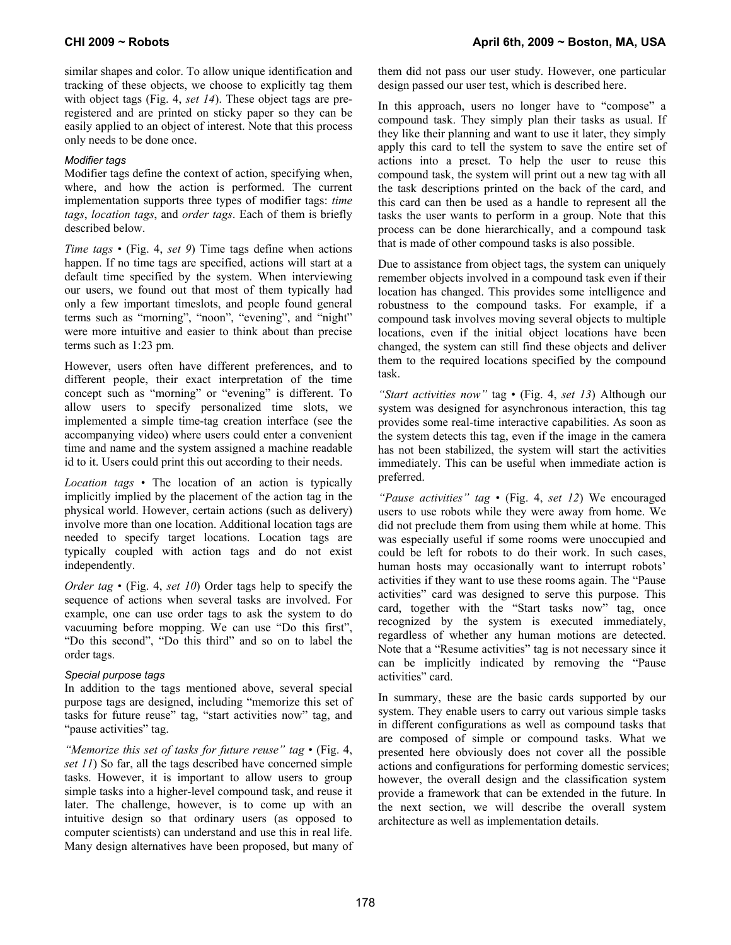similar shapes and color. To allow unique identification and tracking of these objects, we choose to explicitly tag them with object tags (Fig. 4, *set 14*). These object tags are preregistered and are printed on sticky paper so they can be easily applied to an object of interest. Note that this process only needs to be done once.

# *Modifier tags*

Modifier tags define the context of action, specifying when, where, and how the action is performed. The current implementation supports three types of modifier tags: *time tags*, *location tags*, and *order tags*. Each of them is briefly described below.

*Time tags* • (Fig. 4, *set 9*) Time tags define when actions happen. If no time tags are specified, actions will start at a default time specified by the system. When interviewing our users, we found out that most of them typically had only a few important timeslots, and people found general terms such as "morning", "noon", "evening", and "night" were more intuitive and easier to think about than precise terms such as 1:23 pm.

However, users often have different preferences, and to different people, their exact interpretation of the time concept such as "morning" or "evening" is different. To allow users to specify personalized time slots, we implemented a simple time-tag creation interface (see the accompanying video) where users could enter a convenient time and name and the system assigned a machine readable id to it. Users could print this out according to their needs.

*Location tags* • The location of an action is typically implicitly implied by the placement of the action tag in the physical world. However, certain actions (such as delivery) involve more than one location. Additional location tags are needed to specify target locations. Location tags are typically coupled with action tags and do not exist independently.

*Order tag* • (Fig. 4, *set 10*) Order tags help to specify the sequence of actions when several tasks are involved. For example, one can use order tags to ask the system to do vacuuming before mopping. We can use "Do this first", "Do this second", "Do this third" and so on to label the order tags.

#### *Special purpose tags*

In addition to the tags mentioned above, several special purpose tags are designed, including "memorize this set of tasks for future reuse" tag, "start activities now" tag, and "pause activities" tag.

*"Memorize this set of tasks for future reuse" tag* • (Fig. 4, *set 11*) So far, all the tags described have concerned simple tasks. However, it is important to allow users to group simple tasks into a higher-level compound task, and reuse it later. The challenge, however, is to come up with an intuitive design so that ordinary users (as opposed to computer scientists) can understand and use this in real life. Many design alternatives have been proposed, but many of them did not pass our user study. However, one particular design passed our user test, which is described here.

In this approach, users no longer have to "compose" a compound task. They simply plan their tasks as usual. If they like their planning and want to use it later, they simply apply this card to tell the system to save the entire set of actions into a preset. To help the user to reuse this compound task, the system will print out a new tag with all the task descriptions printed on the back of the card, and this card can then be used as a handle to represent all the tasks the user wants to perform in a group. Note that this process can be done hierarchically, and a compound task that is made of other compound tasks is also possible.

Due to assistance from object tags, the system can uniquely remember objects involved in a compound task even if their location has changed. This provides some intelligence and robustness to the compound tasks. For example, if a compound task involves moving several objects to multiple locations, even if the initial object locations have been changed, the system can still find these objects and deliver them to the required locations specified by the compound task.

*"Start activities now"* tag • (Fig. 4, *set 13*) Although our system was designed for asynchronous interaction, this tag provides some real-time interactive capabilities. As soon as the system detects this tag, even if the image in the camera has not been stabilized, the system will start the activities immediately. This can be useful when immediate action is preferred.

*"Pause activities" tag* • (Fig. 4, *set 12*) We encouraged users to use robots while they were away from home. We did not preclude them from using them while at home. This was especially useful if some rooms were unoccupied and could be left for robots to do their work. In such cases, human hosts may occasionally want to interrupt robots' activities if they want to use these rooms again. The "Pause activities" card was designed to serve this purpose. This card, together with the "Start tasks now" tag, once recognized by the system is executed immediately, regardless of whether any human motions are detected. Note that a "Resume activities" tag is not necessary since it can be implicitly indicated by removing the "Pause activities" card.

In summary, these are the basic cards supported by our system. They enable users to carry out various simple tasks in different configurations as well as compound tasks that are composed of simple or compound tasks. What we presented here obviously does not cover all the possible actions and configurations for performing domestic services; however, the overall design and the classification system provide a framework that can be extended in the future. In the next section, we will describe the overall system architecture as well as implementation details.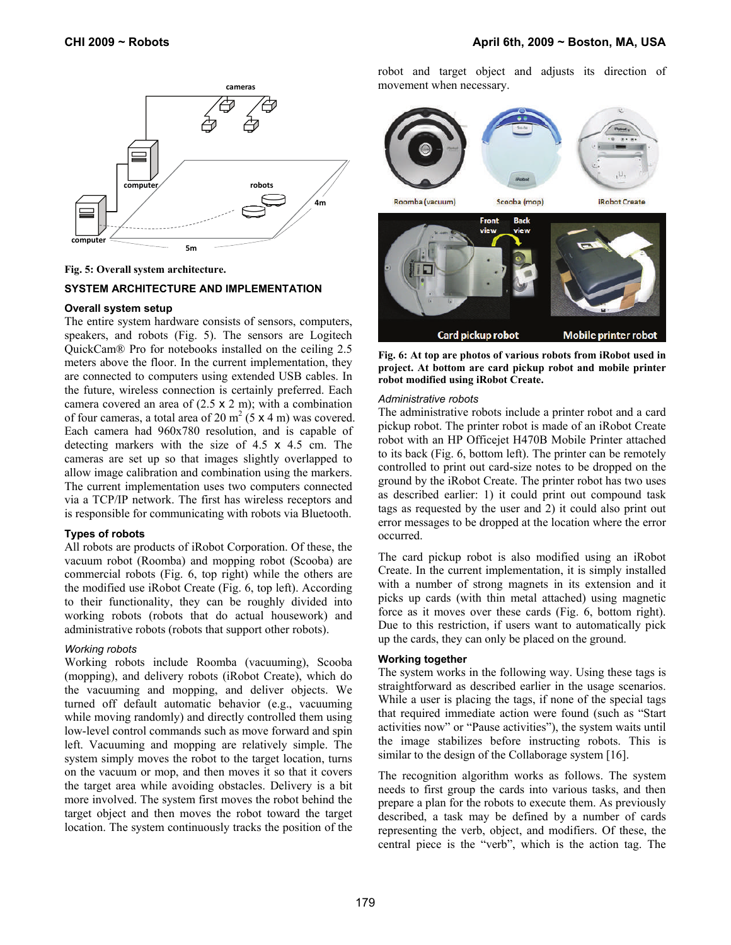

**Fig. 5: Overall system architecture.** 

#### **SYSTEM ARCHITECTURE AND IMPLEMENTATION**

#### **Overall system setup**

The entire system hardware consists of sensors, computers, speakers, and robots (Fig. 5). The sensors are Logitech QuickCam® Pro for notebooks installed on the ceiling 2.5 meters above the floor. In the current implementation, they are connected to computers using extended USB cables. In the future, wireless connection is certainly preferred. Each camera covered an area of (2.5 x 2 m); with a combination of four cameras, a total area of 20  $m^2$  (5 x 4 m) was covered. Each camera had 960x780 resolution, and is capable of detecting markers with the size of 4.5 x 4.5 cm. The cameras are set up so that images slightly overlapped to allow image calibration and combination using the markers. The current implementation uses two computers connected via a TCP/IP network. The first has wireless receptors and is responsible for communicating with robots via Bluetooth.

#### **Types of robots**

All robots are products of iRobot Corporation. Of these, the vacuum robot (Roomba) and mopping robot (Scooba) are commercial robots (Fig. 6, top right) while the others are the modified use iRobot Create (Fig. 6, top left). According to their functionality, they can be roughly divided into working robots (robots that do actual housework) and administrative robots (robots that support other robots).

#### *Working robots*

Working robots include Roomba (vacuuming), Scooba (mopping), and delivery robots (iRobot Create), which do the vacuuming and mopping, and deliver objects. We turned off default automatic behavior (e.g., vacuuming while moving randomly) and directly controlled them using low-level control commands such as move forward and spin left. Vacuuming and mopping are relatively simple. The system simply moves the robot to the target location, turns on the vacuum or mop, and then moves it so that it covers the target area while avoiding obstacles. Delivery is a bit more involved. The system first moves the robot behind the target object and then moves the robot toward the target location. The system continuously tracks the position of the robot and target object and adjusts its direction of movement when necessary.



**Fig. 6: At top are photos of various robots from iRobot used in project. At bottom are card pickup robot and mobile printer robot modified using iRobot Create.** 

#### *Administrative robots*

The administrative robots include a printer robot and a card pickup robot. The printer robot is made of an iRobot Create robot with an HP Officejet H470B Mobile Printer attached to its back (Fig. 6, bottom left). The printer can be remotely controlled to print out card-size notes to be dropped on the ground by the iRobot Create. The printer robot has two uses as described earlier: 1) it could print out compound task tags as requested by the user and 2) it could also print out error messages to be dropped at the location where the error occurred.

The card pickup robot is also modified using an iRobot Create. In the current implementation, it is simply installed with a number of strong magnets in its extension and it picks up cards (with thin metal attached) using magnetic force as it moves over these cards (Fig. 6, bottom right). Due to this restriction, if users want to automatically pick up the cards, they can only be placed on the ground.

#### **Working together**

The system works in the following way. Using these tags is straightforward as described earlier in the usage scenarios. While a user is placing the tags, if none of the special tags that required immediate action were found (such as "Start activities now" or "Pause activities"), the system waits until the image stabilizes before instructing robots. This is similar to the design of the Collaborage system [16].

The recognition algorithm works as follows. The system needs to first group the cards into various tasks, and then prepare a plan for the robots to execute them. As previously described, a task may be defined by a number of cards representing the verb, object, and modifiers. Of these, the central piece is the "verb", which is the action tag. The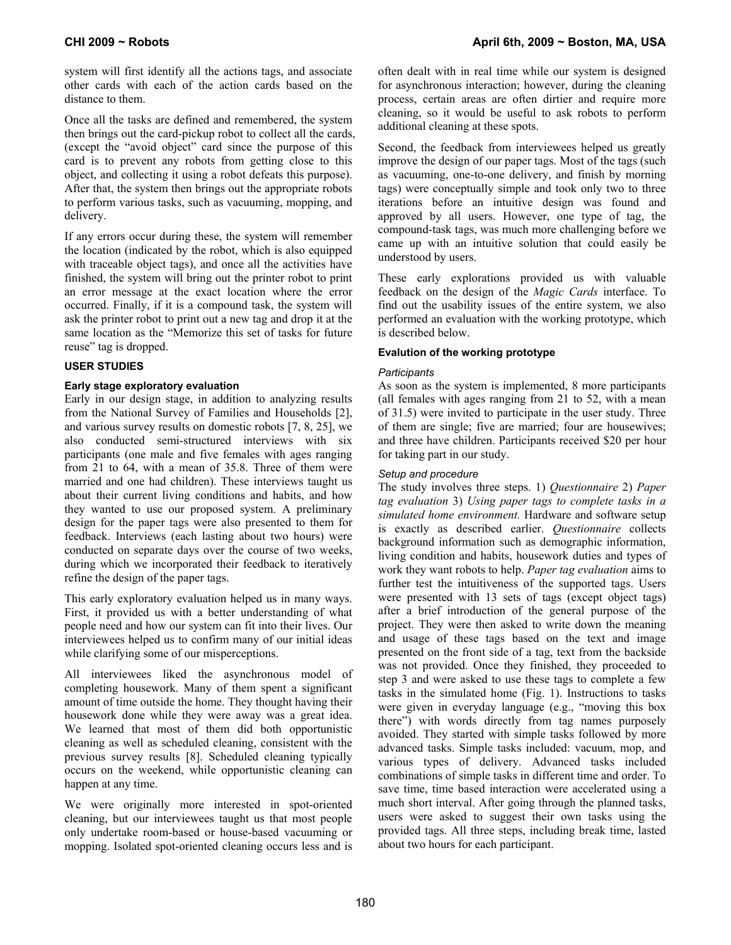system will first identify all the actions tags, and associate other cards with each of the action cards based on the distance to them.

Once all the tasks are defined and remembered, the system then brings out the card-pickup robot to collect all the cards, (except the "avoid object" card since the purpose of this card is to prevent any robots from getting close to this object, and collecting it using a robot defeats this purpose). After that, the system then brings out the appropriate robots to perform various tasks, such as vacuuming, mopping, and delivery.

If any errors occur during these, the system will remember the location (indicated by the robot, which is also equipped with traceable object tags), and once all the activities have finished, the system will bring out the printer robot to print an error message at the exact location where the error occurred. Finally, if it is a compound task, the system will ask the printer robot to print out a new tag and drop it at the same location as the "Memorize this set of tasks for future reuse" tag is dropped.

# **USER STUDIES**

# **Early stage exploratory evaluation**

Early in our design stage, in addition to analyzing results from the National Survey of Families and Households [2], and various survey results on domestic robots [7, 8, 25], we also conducted semi-structured interviews with six participants (one male and five females with ages ranging from 21 to 64, with a mean of 35.8. Three of them were married and one had children). These interviews taught us about their current living conditions and habits, and how they wanted to use our proposed system. A preliminary design for the paper tags were also presented to them for feedback. Interviews (each lasting about two hours) were conducted on separate days over the course of two weeks, during which we incorporated their feedback to iteratively refine the design of the paper tags.

This early exploratory evaluation helped us in many ways. First, it provided us with a better understanding of what people need and how our system can fit into their lives. Our interviewees helped us to confirm many of our initial ideas while clarifying some of our misperceptions.

All interviewees liked the asynchronous model of completing housework. Many of them spent a significant amount of time outside the home. They thought having their housework done while they were away was a great idea. We learned that most of them did both opportunistic cleaning as well as scheduled cleaning, consistent with the previous survey results [8]. Scheduled cleaning typically occurs on the weekend, while opportunistic cleaning can happen at any time.

We were originally more interested in spot-oriented cleaning, but our interviewees taught us that most people only undertake room-based or house-based vacuuming or mopping. Isolated spot-oriented cleaning occurs less and is often dealt with in real time while our system is designed for asynchronous interaction; however, during the cleaning process, certain areas are often dirtier and require more cleaning, so it would be useful to ask robots to perform additional cleaning at these spots.

Second, the feedback from interviewees helped us greatly improve the design of our paper tags. Most of the tags (such as vacuuming, one-to-one delivery, and finish by morning tags) were conceptually simple and took only two to three iterations before an intuitive design was found and approved by all users. However, one type of tag, the compound-task tags, was much more challenging before we came up with an intuitive solution that could easily be understood by users.

These early explorations provided us with valuable feedback on the design of the *Magic Cards* interface. To find out the usability issues of the entire system, we also performed an evaluation with the working prototype, which is described below.

# **Evalution of the working prototype**

# *Participants*

As soon as the system is implemented, 8 more participants (all females with ages ranging from 21 to 52, with a mean of 31.5) were invited to participate in the user study. Three of them are single; five are married; four are housewives; and three have children. Participants received \$20 per hour for taking part in our study.

# *Setup and procedure*

The study involves three steps. 1) *Questionnaire* 2) *Paper tag evaluation* 3) *Using paper tags to complete tasks in a simulated home environment.* Hardware and software setup is exactly as described earlier. *Questionnaire* collects background information such as demographic information, living condition and habits, housework duties and types of work they want robots to help. *Paper tag evaluation* aims to further test the intuitiveness of the supported tags. Users were presented with 13 sets of tags (except object tags) after a brief introduction of the general purpose of the project. They were then asked to write down the meaning and usage of these tags based on the text and image presented on the front side of a tag, text from the backside was not provided. Once they finished, they proceeded to step 3 and were asked to use these tags to complete a few tasks in the simulated home (Fig. 1). Instructions to tasks were given in everyday language (e.g., "moving this box there") with words directly from tag names purposely avoided. They started with simple tasks followed by more advanced tasks. Simple tasks included: vacuum, mop, and various types of delivery. Advanced tasks included combinations of simple tasks in different time and order. To save time, time based interaction were accelerated using a much short interval. After going through the planned tasks, users were asked to suggest their own tasks using the provided tags. All three steps, including break time, lasted about two hours for each participant.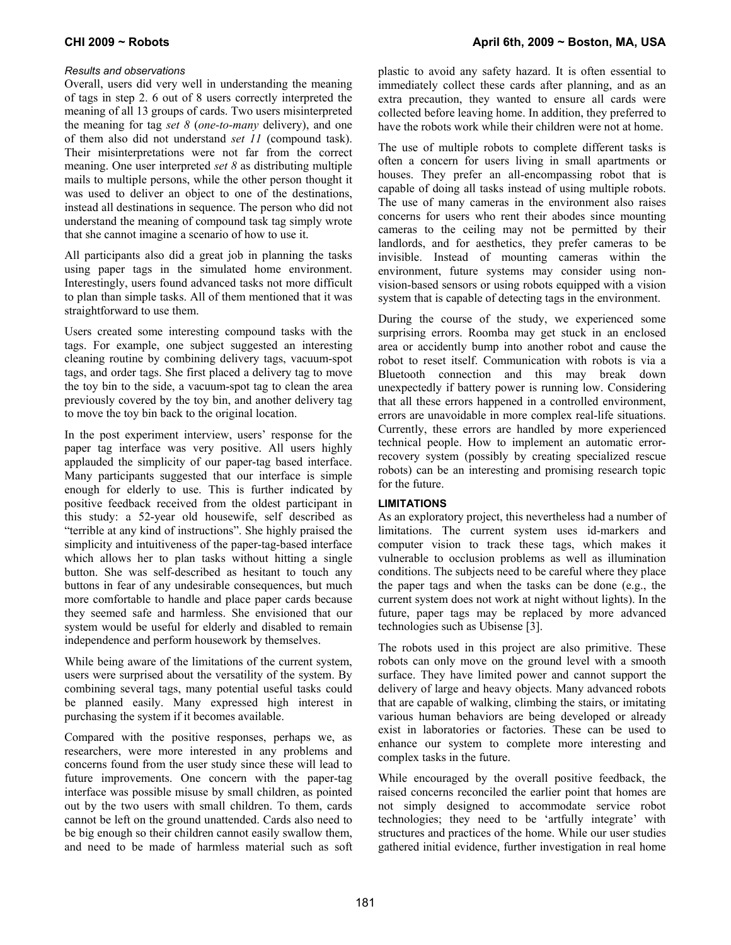#### *Results and observations*

Overall, users did very well in understanding the meaning of tags in step 2. 6 out of 8 users correctly interpreted the meaning of all 13 groups of cards. Two users misinterpreted the meaning for tag *set 8* (*one-to-many* delivery), and one of them also did not understand *set 11* (compound task). Their misinterpretations were not far from the correct meaning. One user interpreted *set 8* as distributing multiple mails to multiple persons, while the other person thought it was used to deliver an object to one of the destinations, instead all destinations in sequence. The person who did not understand the meaning of compound task tag simply wrote that she cannot imagine a scenario of how to use it.

All participants also did a great job in planning the tasks using paper tags in the simulated home environment. Interestingly, users found advanced tasks not more difficult to plan than simple tasks. All of them mentioned that it was straightforward to use them.

Users created some interesting compound tasks with the tags. For example, one subject suggested an interesting cleaning routine by combining delivery tags, vacuum-spot tags, and order tags. She first placed a delivery tag to move the toy bin to the side, a vacuum-spot tag to clean the area previously covered by the toy bin, and another delivery tag to move the toy bin back to the original location.

In the post experiment interview, users' response for the paper tag interface was very positive. All users highly applauded the simplicity of our paper-tag based interface. Many participants suggested that our interface is simple enough for elderly to use. This is further indicated by positive feedback received from the oldest participant in this study: a 52-year old housewife, self described as "terrible at any kind of instructions". She highly praised the simplicity and intuitiveness of the paper-tag-based interface which allows her to plan tasks without hitting a single button. She was self-described as hesitant to touch any buttons in fear of any undesirable consequences, but much more comfortable to handle and place paper cards because they seemed safe and harmless. She envisioned that our system would be useful for elderly and disabled to remain independence and perform housework by themselves.

While being aware of the limitations of the current system, users were surprised about the versatility of the system. By combining several tags, many potential useful tasks could be planned easily. Many expressed high interest in purchasing the system if it becomes available.

Compared with the positive responses, perhaps we, as researchers, were more interested in any problems and concerns found from the user study since these will lead to future improvements. One concern with the paper-tag interface was possible misuse by small children, as pointed out by the two users with small children. To them, cards cannot be left on the ground unattended. Cards also need to be big enough so their children cannot easily swallow them, and need to be made of harmless material such as soft plastic to avoid any safety hazard. It is often essential to immediately collect these cards after planning, and as an extra precaution, they wanted to ensure all cards were collected before leaving home. In addition, they preferred to have the robots work while their children were not at home.

The use of multiple robots to complete different tasks is often a concern for users living in small apartments or houses. They prefer an all-encompassing robot that is capable of doing all tasks instead of using multiple robots. The use of many cameras in the environment also raises concerns for users who rent their abodes since mounting cameras to the ceiling may not be permitted by their landlords, and for aesthetics, they prefer cameras to be invisible. Instead of mounting cameras within the environment, future systems may consider using nonvision-based sensors or using robots equipped with a vision system that is capable of detecting tags in the environment.

During the course of the study, we experienced some surprising errors. Roomba may get stuck in an enclosed area or accidently bump into another robot and cause the robot to reset itself. Communication with robots is via a Bluetooth connection and this may break down unexpectedly if battery power is running low. Considering that all these errors happened in a controlled environment, errors are unavoidable in more complex real-life situations. Currently, these errors are handled by more experienced technical people. How to implement an automatic errorrecovery system (possibly by creating specialized rescue robots) can be an interesting and promising research topic for the future.

# **LIMITATIONS**

As an exploratory project, this nevertheless had a number of limitations. The current system uses id-markers and computer vision to track these tags, which makes it vulnerable to occlusion problems as well as illumination conditions. The subjects need to be careful where they place the paper tags and when the tasks can be done (e.g., the current system does not work at night without lights). In the future, paper tags may be replaced by more advanced technologies such as Ubisense [3].

The robots used in this project are also primitive. These robots can only move on the ground level with a smooth surface. They have limited power and cannot support the delivery of large and heavy objects. Many advanced robots that are capable of walking, climbing the stairs, or imitating various human behaviors are being developed or already exist in laboratories or factories. These can be used to enhance our system to complete more interesting and complex tasks in the future.

While encouraged by the overall positive feedback, the raised concerns reconciled the earlier point that homes are not simply designed to accommodate service robot technologies; they need to be 'artfully integrate' with structures and practices of the home. While our user studies gathered initial evidence, further investigation in real home